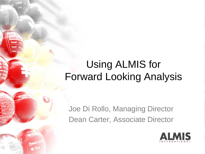#### Using ALMIS for Forward Looking Analysis

Joe Di Rollo, Managing Director Dean Carter, Associate Director

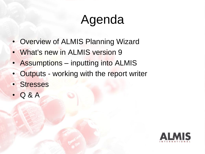# Agenda

- Overview of ALMIS Planning Wizard
- What's new in ALMIS version 9
- Assumptions inputting into ALMIS
- Outputs working with the report writer
- Stresses
- Q & A

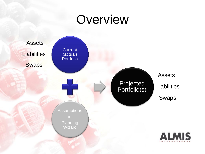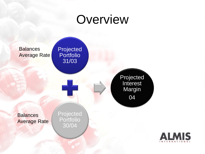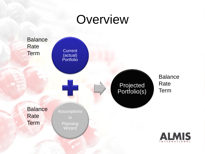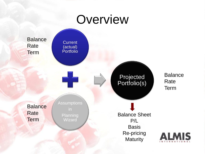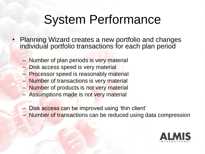## System Performance

- Planning Wizard creates a new portfolio and changes individual portfolio transactions for each plan period
	- Number of plan periods is very material
	- Disk access speed is very material
	- Processor speed is reasonably material
	- Number of transactions is very material
	- Number of products is not very material
	- Assumptions made is not very material
	- Disk access can be improved using 'thin client'
	- Number of transactions can be reduced using data compression

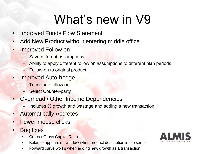# What's new in V9

- Improved Funds Flow Statement
- Add New Product without entering middle office
- **Improved Follow on** 
	- Save different assumptions
	- Ability to apply different follow on assumptions to different plan periods
	- Follow-on to original product
- Improved Auto-hedge
	- To include follow on
	- **Select Counter-party**
- Overhead / Other Income Dependencies
	- Includes % growth and wastage and adding a new transaction
- Automatically Accretes
- **Fewer mouse clicks**
- **Bug fixes** 
	- **Correct Gross Capital Ratio**
	- Balance appears on window when product description is the same
	- Forward curve works when adding new growth as a transaction

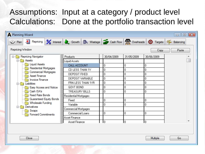#### Assumptions: Input at a category / product level Calculations: Done at the portfolio transaction level

| <b>A</b> Planning Wizard                                                                                                                                                                                                                                                                                                                                                              |                                                                                                                                                                                                                                                                                |                                                                                         |                                                              |                                                               | $\Box$ $\Box$ $\mathbf{x}$ |
|---------------------------------------------------------------------------------------------------------------------------------------------------------------------------------------------------------------------------------------------------------------------------------------------------------------------------------------------------------------------------------------|--------------------------------------------------------------------------------------------------------------------------------------------------------------------------------------------------------------------------------------------------------------------------------|-----------------------------------------------------------------------------------------|--------------------------------------------------------------|---------------------------------------------------------------|----------------------------|
| Plan 3 Repricing 2 Interest 2 Growth <b>II</b> Wastage <b>2</b> Cash Flow <b>2</b> Overheads                                                                                                                                                                                                                                                                                          |                                                                                                                                                                                                                                                                                |                                                                                         |                                                              | <b>O</b> Targets                                              | 44 Balancing               |
| Repricing Window<br>Paste<br>Copy                                                                                                                                                                                                                                                                                                                                                     |                                                                                                                                                                                                                                                                                |                                                                                         |                                                              |                                                               |                            |
| Repricing Navigator<br>日 藤原<br>⊟ <del>n</del> Assets<br><b>Liquid Assets</b><br><b>Residential Mortgages</b><br><b>Commercial Mortgages</b><br>Asset Finance<br><b>Invoice Finance</b><br>Liabilities<br>Easy Access and Notice<br>Cash ISA's<br><b>Fixed Rate Bonds</b><br>Guaranteed Equity Bonds<br><b>Wholesale Funding</b><br>Derivatives<br>Swaps<br><b>Forward Commitments</b> | Products<br>Liquid Assets<br>CALL ACCOUNT<br>CD LESS THAN 1Y<br>DEPOSIT FIXED<br>DEPOSIT VARIABLE<br>FRN LESS THAN 1YR<br>GOVT BOND<br><b>TREASURY BILLS</b><br>Residential Mortgages<br>Fixed<br>Variable<br>Commercial Mortgages<br><b>Commercial Loans</b><br>Asset Finance | 30/04/2009<br>0<br>0<br>0<br>0<br>$\overline{0}$<br>$\overline{0}$<br>١o<br>0<br>0<br>0 | 31/05/2009<br>0<br>0<br>0<br>0<br>0<br>0<br>0<br>0<br>0<br>0 | 30/06/2009<br>0<br>0<br>0<br>0<br>0<br>0<br>0<br>0<br>0.<br>0 |                            |
|                                                                                                                                                                                                                                                                                                                                                                                       | <b>Asset Finance</b>                                                                                                                                                                                                                                                           | I0.                                                                                     | Io.                                                          | Io.                                                           |                            |
|                                                                                                                                                                                                                                                                                                                                                                                       |                                                                                                                                                                                                                                                                                |                                                                                         |                                                              |                                                               |                            |
| Close                                                                                                                                                                                                                                                                                                                                                                                 |                                                                                                                                                                                                                                                                                |                                                                                         |                                                              | Multiple                                                      | Go                         |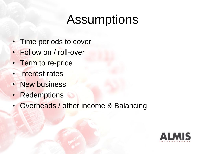## **Assumptions**

- Time periods to cover
- Follow on / roll-over
- Term to re-price
- **Interest rates**
- New business
- Redemptions
- Overheads / other income & Balancing

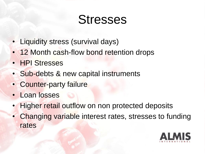## **Stresses**

- Liquidity stress (survival days)
- 12 Month cash-flow bond retention drops
- HPI Stresses
- Sub-debts & new capital instruments
- Counter-party failure
- Loan losses
- **Higher retail outflow on non protected deposits**
- Changing variable interest rates, stresses to funding rates